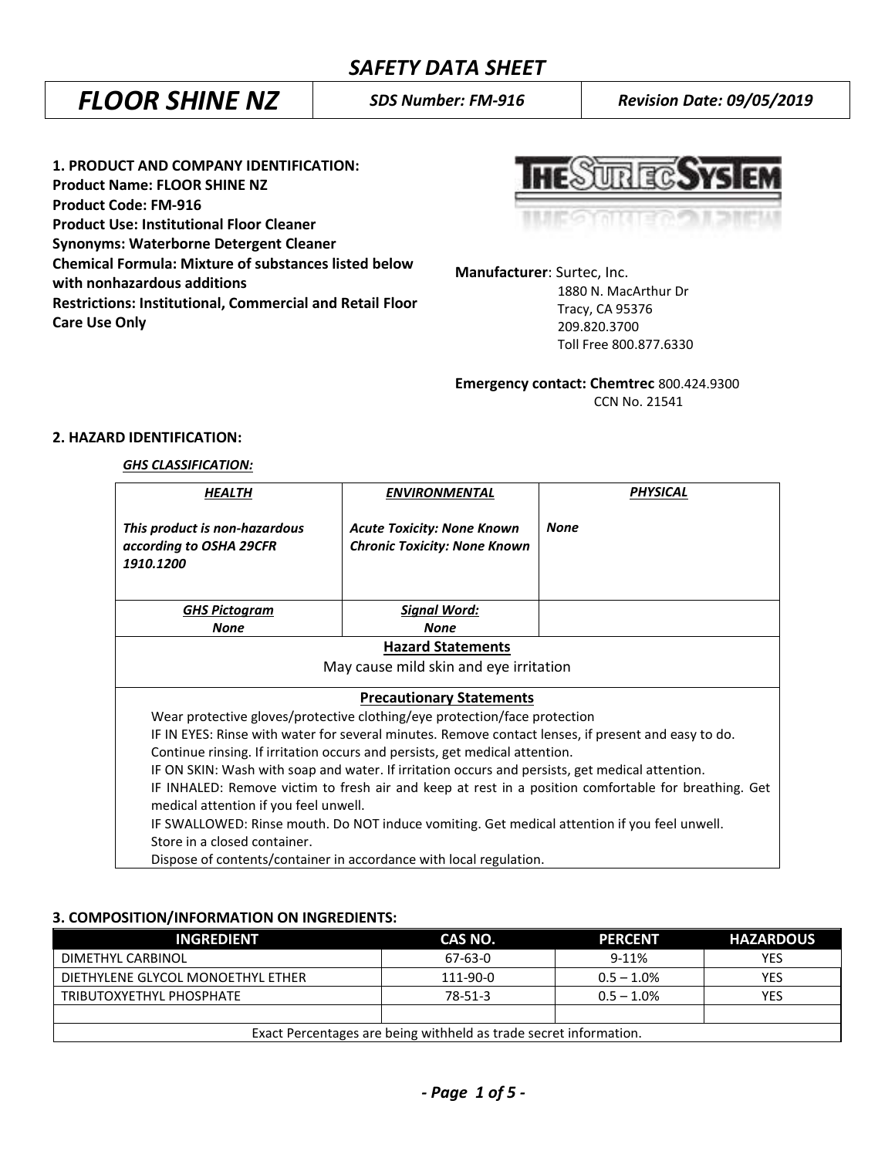# *FLOOR SHINE NZ SDS Number: FM-916 Revision Date: 09/05/2019*

**1. PRODUCT AND COMPANY IDENTIFICATION: Product Name: FLOOR SHINE NZ Product Code: FM-916 Product Use: Institutional Floor Cleaner Synonyms: Waterborne Detergent Cleaner Chemical Formula: Mixture of substances listed below with nonhazardous additions Restrictions: Institutional, Commercial and Retail Floor Care Use Only**

UR EGSYS

**Manufacturer**: Surtec, Inc. 1880 N. MacArthur Dr Tracy, CA 95376 209.820.3700 Toll Free 800.877.6330

**Emergency contact: Chemtrec** 800.424.9300 CCN No. 21541

## **2. HAZARD IDENTIFICATION:**

#### *GHS CLASSIFICATION:*

| HEALTH                                                                                                                                        | ENVIRONMENTAL                                                                                   | PHYSICAL                                                                                            |  |
|-----------------------------------------------------------------------------------------------------------------------------------------------|-------------------------------------------------------------------------------------------------|-----------------------------------------------------------------------------------------------------|--|
| This product is non-hazardous<br>according to OSHA 29CFR<br>1910.1200                                                                         | <b>Acute Toxicity: None Known</b><br><b>Chronic Toxicity: None Known</b>                        | <b>None</b>                                                                                         |  |
| <b>GHS Pictogram</b>                                                                                                                          | <u> Signal Word:</u>                                                                            |                                                                                                     |  |
| <b>None</b>                                                                                                                                   | None                                                                                            |                                                                                                     |  |
| <b>Hazard Statements</b><br>May cause mild skin and eye irritation                                                                            |                                                                                                 |                                                                                                     |  |
| <b>Precautionary Statements</b><br>Wear protective gloves/protective clothing/eye protection/face protection                                  |                                                                                                 |                                                                                                     |  |
|                                                                                                                                               |                                                                                                 | IF IN EYES: Rinse with water for several minutes. Remove contact lenses, if present and easy to do. |  |
| Continue rinsing. If irritation occurs and persists, get medical attention.                                                                   |                                                                                                 |                                                                                                     |  |
|                                                                                                                                               | IF ON SKIN: Wash with soap and water. If irritation occurs and persists, get medical attention. |                                                                                                     |  |
| IF INHALED: Remove victim to fresh air and keep at rest in a position comfortable for breathing. Get<br>medical attention if you feel unwell. |                                                                                                 |                                                                                                     |  |
| IF SWALLOWED: Rinse mouth. Do NOT induce vomiting. Get medical attention if you feel unwell.                                                  |                                                                                                 |                                                                                                     |  |
| Store in a closed container.                                                                                                                  |                                                                                                 |                                                                                                     |  |
|                                                                                                                                               | Dispose of contents/container in accordance with local regulation.                              |                                                                                                     |  |

### **3. COMPOSITION/INFORMATION ON INGREDIENTS:**

| <b>INGREDIENT</b>                                                 | CAS NO.  | <b>PERCENT</b> | <b>HAZARDOUS</b> |
|-------------------------------------------------------------------|----------|----------------|------------------|
| DIMETHYL CARBINOL                                                 | 67-63-0  | $9 - 11%$      | YES              |
| DIETHYLENE GLYCOL MONOETHYL ETHER                                 | 111-90-0 | $0.5 - 1.0\%$  | YES              |
| TRIBUTOXYETHYL PHOSPHATE                                          | 78-51-3  | $0.5 - 1.0\%$  | YES              |
|                                                                   |          |                |                  |
| Exact Percentages are being withheld as trade secret information. |          |                |                  |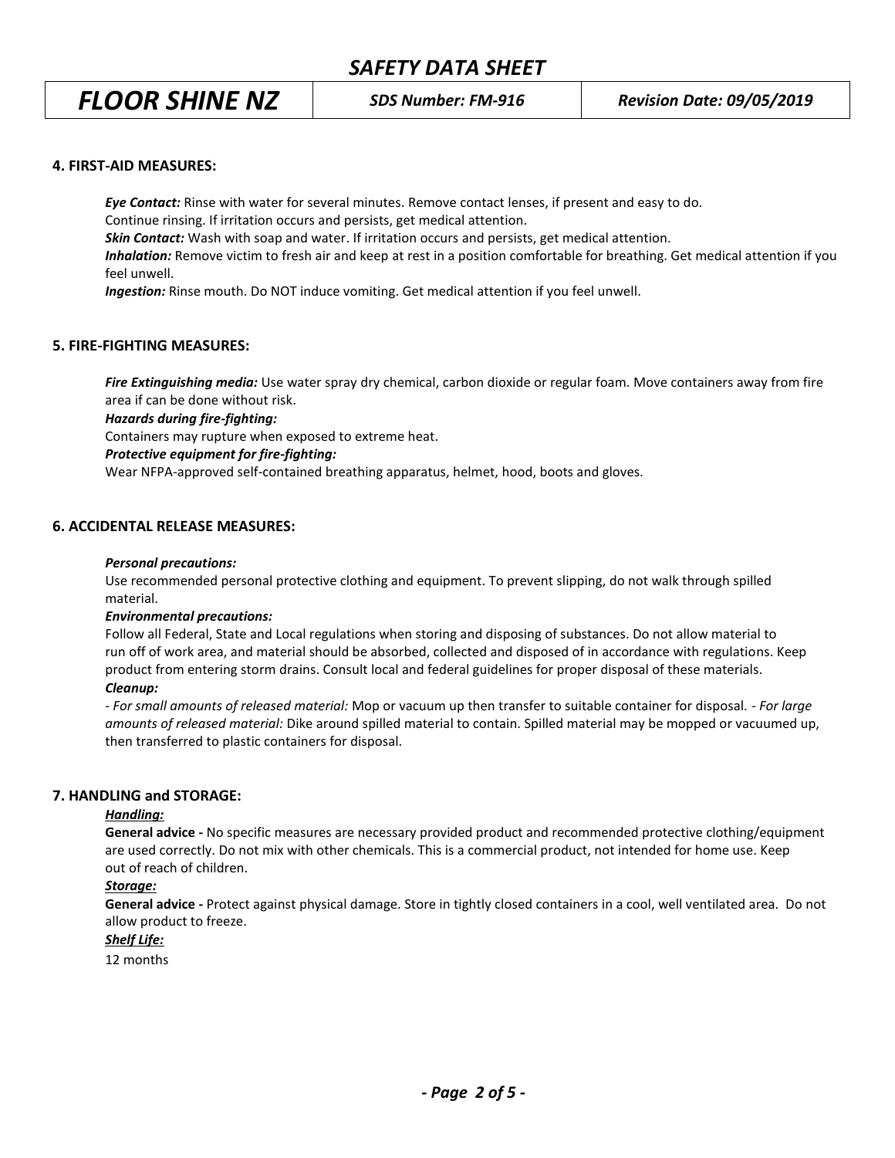*FLOOR SHINE NZ SDS Number: FM-916 Revision Date: 09/05/2019*

#### **4. FIRST-AID MEASURES:**

*Eye Contact:* Rinse with water for several minutes. Remove contact lenses, if present and easy to do. Continue rinsing. If irritation occurs and persists, get medical attention. *Skin Contact:* Wash with soap and water. If irritation occurs and persists, get medical attention. *Inhalation:* Remove victim to fresh air and keep at rest in a position comfortable for breathing. Get medical attention if you feel unwell.

*Ingestion:* Rinse mouth. Do NOT induce vomiting. Get medical attention if you feel unwell.

### **5. FIRE-FIGHTING MEASURES:**

*Fire Extinguishing media:* Use water spray dry chemical, carbon dioxide or regular foam. Move containers away from fire area if can be done without risk.

*Hazards during fire-fighting:*

Containers may rupture when exposed to extreme heat.

#### *Protective equipment for fire-fighting:*

Wear NFPA-approved self-contained breathing apparatus, helmet, hood, boots and gloves.

#### **6. ACCIDENTAL RELEASE MEASURES:**

#### *Personal precautions:*

Use recommended personal protective clothing and equipment. To prevent slipping, do not walk through spilled material.

#### *Environmental precautions:*

Follow all Federal, State and Local regulations when storing and disposing of substances. Do not allow material to run off of work area, and material should be absorbed, collected and disposed of in accordance with regulations. Keep product from entering storm drains. Consult local and federal guidelines for proper disposal of these materials.

#### *Cleanup:*

*- For small amounts of released material:* Mop or vacuum up then transfer to suitable container for disposal. - *For large amounts of released material:* Dike around spilled material to contain. Spilled material may be mopped or vacuumed up, then transferred to plastic containers for disposal.

#### **7. HANDLING and STORAGE:**

#### *Handling:*

**General advice -** No specific measures are necessary provided product and recommended protective clothing/equipment are used correctly. Do not mix with other chemicals. This is a commercial product, not intended for home use. Keep out of reach of children.

#### *Storage:*

**General advice -** Protect against physical damage. Store in tightly closed containers in a cool, well ventilated area. Do not allow product to freeze.

## *Shelf Life:*

12 months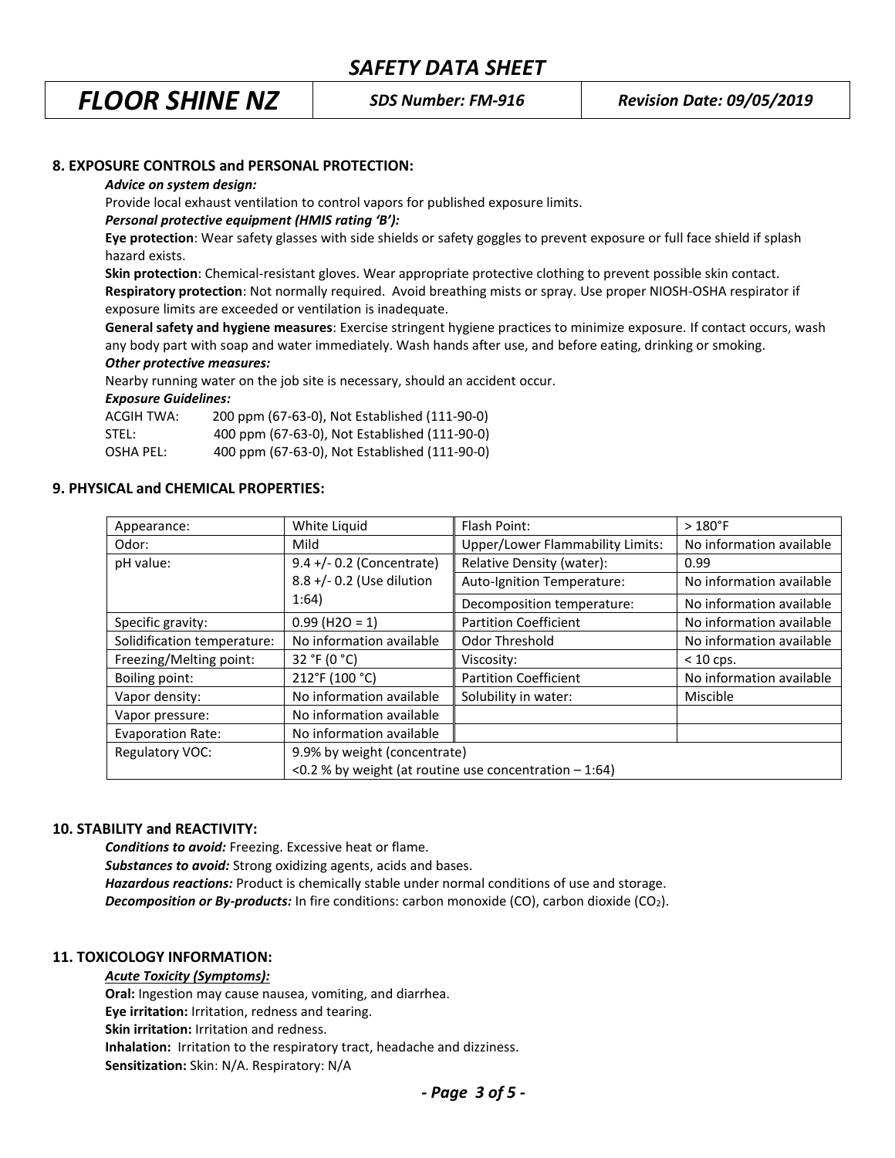*FLOOR SHINE NZ SDS Number: FM-916 Revision Date: 09/05/2019*

### **8. EXPOSURE CONTROLS and PERSONAL PROTECTION:**

#### *Advice on system design:*

Provide local exhaust ventilation to control vapors for published exposure limits.

#### *Personal protective equipment (HMIS rating 'B'):*

**Eye protection**: Wear safety glasses with side shields or safety goggles to prevent exposure or full face shield if splash hazard exists.

**Skin protection**: Chemical-resistant gloves. Wear appropriate protective clothing to prevent possible skin contact. **Respiratory protection**: Not normally required. Avoid breathing mists or spray. Use proper NIOSH-OSHA respirator if exposure limits are exceeded or ventilation is inadequate.

**General safety and hygiene measures**: Exercise stringent hygiene practices to minimize exposure. If contact occurs, wash any body part with soap and water immediately. Wash hands after use, and before eating, drinking or smoking. *Other protective measures:*

Nearby running water on the job site is necessary, should an accident occur.

#### *Exposure Guidelines:*

| ACGIH TWA: | 200 ppm (67-63-0), Not Established (111-90-0) |
|------------|-----------------------------------------------|
| STEL:      | 400 ppm (67-63-0), Not Established (111-90-0) |
| OSHA PEL:  | 400 ppm (67-63-0), Not Established (111-90-0) |

#### **9. PHYSICAL and CHEMICAL PROPERTIES:**

| Appearance:                 | White Liquid                 | Flash Point:                                             | $>180^{\circ}$ F         |
|-----------------------------|------------------------------|----------------------------------------------------------|--------------------------|
| Odor:                       | Mild                         | <b>Upper/Lower Flammability Limits:</b>                  | No information available |
| pH value:                   | $9.4$ +/- 0.2 (Concentrate)  | Relative Density (water):                                | 0.99                     |
|                             | 8.8 +/- 0.2 (Use dilution    | Auto-Ignition Temperature:                               | No information available |
|                             | 1:64)                        | Decomposition temperature:                               | No information available |
| Specific gravity:           | $0.99$ (H2O = 1)             | <b>Partition Coefficient</b>                             | No information available |
| Solidification temperature: | No information available     | Odor Threshold                                           | No information available |
| Freezing/Melting point:     | 32 °F (0 °C)                 | Viscosity:                                               | $< 10$ cps.              |
| Boiling point:              | 212°F (100 °C)               | <b>Partition Coefficient</b>                             | No information available |
| Vapor density:              | No information available     | Solubility in water:                                     | Miscible                 |
| Vapor pressure:             | No information available     |                                                          |                          |
| <b>Evaporation Rate:</b>    | No information available     |                                                          |                          |
| Regulatory VOC:             | 9.9% by weight (concentrate) |                                                          |                          |
|                             |                              | <0.2 % by weight (at routine use concentration $-1:64$ ) |                          |

#### **10. STABILITY and REACTIVITY:**

*Conditions to avoid:* Freezing. Excessive heat or flame. *Substances to avoid:* Strong oxidizing agents, acids and bases. *Hazardous reactions:* Product is chemically stable under normal conditions of use and storage. **Decomposition or By-products:** In fire conditions: carbon monoxide (CO), carbon dioxide (CO<sub>2</sub>).

#### **11. TOXICOLOGY INFORMATION:**

*Acute Toxicity (Symptoms):* **Oral:** Ingestion may cause nausea, vomiting, and diarrhea. **Eye irritation:** Irritation, redness and tearing. **Skin irritation:** Irritation and redness. **Inhalation:** Irritation to the respiratory tract, headache and dizziness. **Sensitization:** Skin: N/A. Respiratory: N/A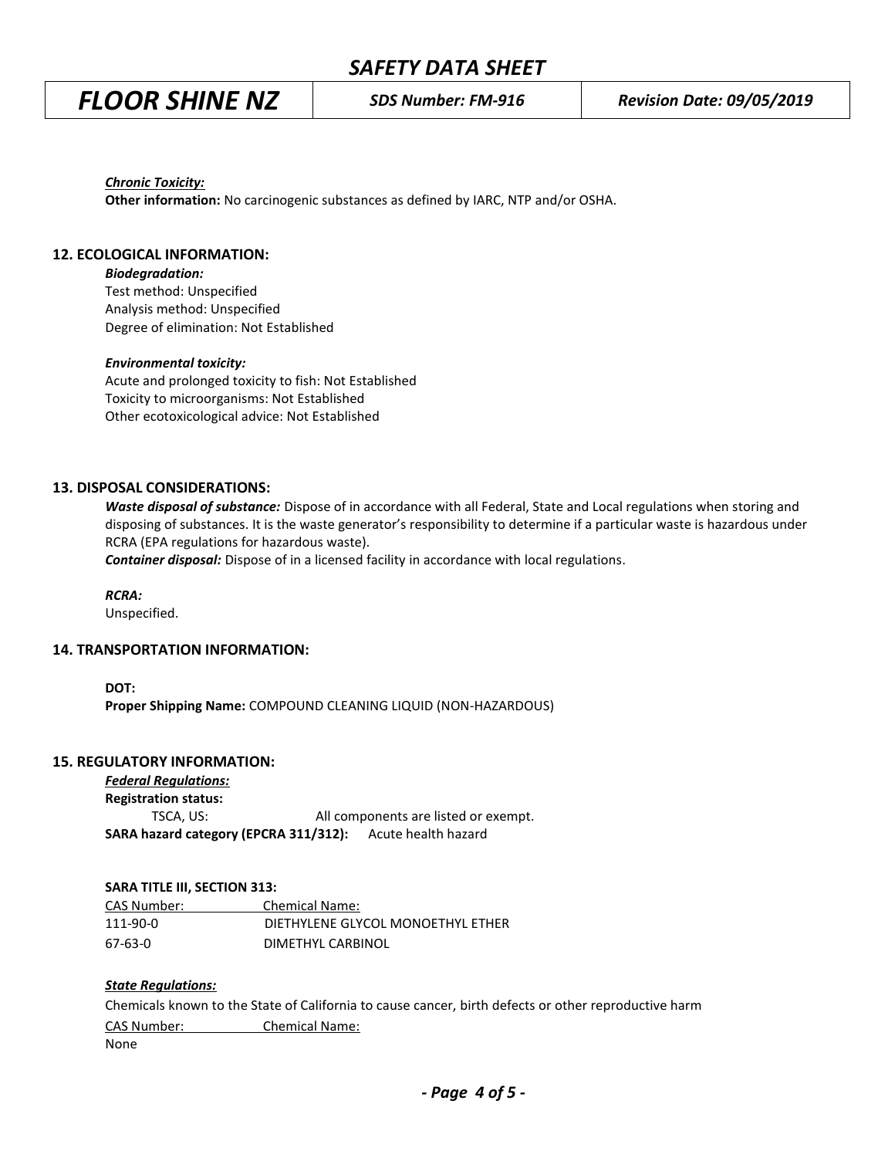*FLOOR SHINE NZ SDS Number: FM-916 Revision Date: 09/05/2019*

*Chronic Toxicity:*

**Other information:** No carcinogenic substances as defined by IARC, NTP and/or OSHA.

#### **12. ECOLOGICAL INFORMATION:**

*Biodegradation:*

Test method: Unspecified Analysis method: Unspecified Degree of elimination: Not Established

#### *Environmental toxicity:*

Acute and prolonged toxicity to fish: Not Established Toxicity to microorganisms: Not Established Other ecotoxicological advice: Not Established

#### **13. DISPOSAL CONSIDERATIONS:**

*Waste disposal of substance:* Dispose of in accordance with all Federal, State and Local regulations when storing and disposing of substances. It is the waste generator's responsibility to determine if a particular waste is hazardous under RCRA (EPA regulations for hazardous waste).

*Container disposal:* Dispose of in a licensed facility in accordance with local regulations.

*RCRA:*

Unspecified.

#### **14. TRANSPORTATION INFORMATION:**

**DOT:**

**Proper Shipping Name:** COMPOUND CLEANING LIQUID (NON-HAZARDOUS)

#### **15. REGULATORY INFORMATION:**

*Federal Regulations:*

**Registration status:** TSCA, US: All components are listed or exempt. **SARA hazard category (EPCRA 311/312):** Acute health hazard

#### **SARA TITLE III, SECTION 313:**

| CAS Number: | <b>Chemical Name:</b>             |
|-------------|-----------------------------------|
| 111-90-0    | DIETHYLENE GLYCOL MONOETHYL ETHER |
| 67-63-0     | DIMETHYL CARBINOL                 |

#### *State Regulations:*

Chemicals known to the State of California to cause cancer, birth defects or other reproductive harm CAS Number: Chemical Name: None